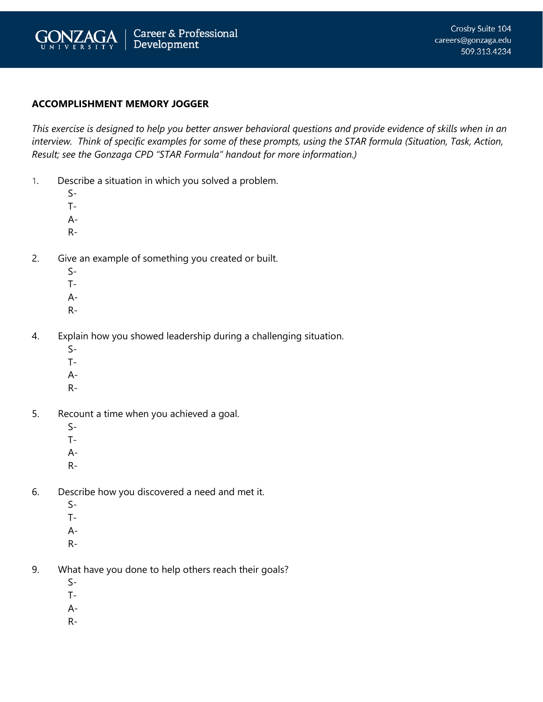

## **ACCOMPLISHMENT MEMORY JOGGER**

*This exercise is designed to help you better answer behavioral questions and provide evidence of skills when in an interview. Think of specific examples for some of these prompts, using the STAR formula (Situation, Task, Action, Result; see the Gonzaga CPD "STAR Formula" handout for more information.)*

- 1. Describe a situation in which you solved a problem.
	- S-
	- T-
	- A-
	- R-
- 2. Give an example of something you created or built.
	- $S-$
	- T-
	- A-
	- R-
- 4. Explain how you showed leadership during a challenging situation.
	- $S-$
	- T-
	- A-
	- R-
- 5. Recount a time when you achieved a goal.
	- $S-$
	- T-
	- A-
	- R-
- 6. Describe how you discovered a need and met it.
	- S-
	- T-
	- A-
	- R-
	-
- 9. What have you done to help others reach their goals?
	- S-
	- T-
	- A-
	- R-